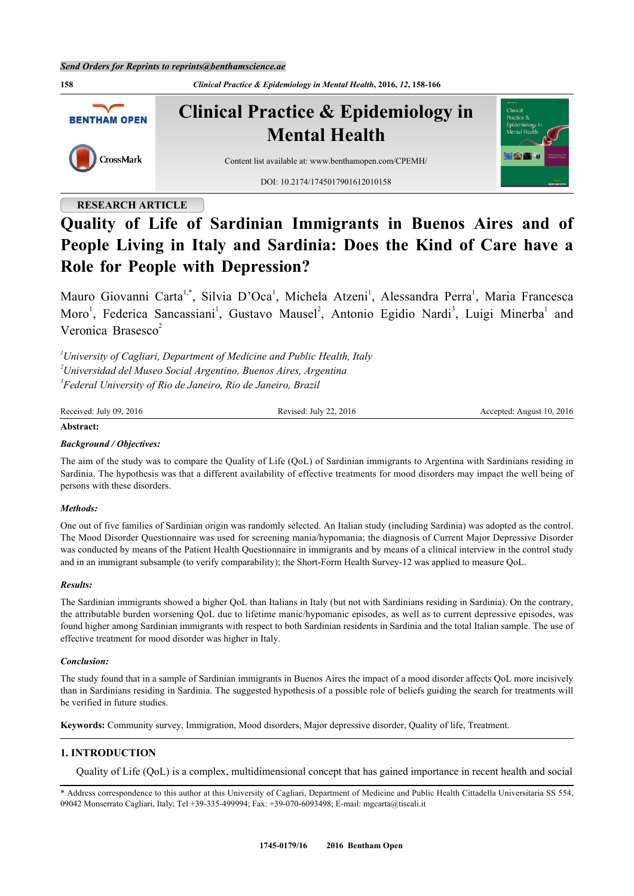

## **RESEARCH ARTICLE**

# **Quality of Life of Sardinian Immigrants in Buenos Aires and of People Living in Italy and Sardinia: Does the Kind of Care have a Role for People with Depression?**

Mauro Giovanni Carta<sup>[1](#page-0-0)[,\\*](#page-0-1)</sup>, Silvia D'Oca<sup>1</sup>, Michela Atzeni<sup>1</sup>, Alessandra Perra<sup>1</sup>, Maria Francesca Moro<sup>[1](#page-0-0)</sup>, Federica Sancassiani<sup>1</sup>, Gustavo Mausel<sup>[2](#page-0-2)</sup>, Antonio Egidio Nardi<sup>[3](#page-0-3)</sup>, Luigi Minerba<sup>1</sup> and Veronica Brasesco $2$ 

<span id="page-0-3"></span><span id="page-0-2"></span><span id="page-0-0"></span>*<sup>1</sup>University of Cagliari, Department of Medicine and Public Health, Italy <sup>2</sup>Universidad del Museo Social Argentino, Buenos Aires, Argentina 3 Federal University of Rio de Janeiro, Rio de Janeiro, Brazil*

| Received: July 09, 2016 | Revised: July 22, 2016 | Accepted: August 10, 2016 |
|-------------------------|------------------------|---------------------------|
|                         |                        |                           |

#### **Abstract:**

## *Background / Objectives:*

The aim of the study was to compare the Quality of Life (QoL) of Sardinian immigrants to Argentina with Sardinians residing in Sardinia. The hypothesis was that a different availability of effective treatments for mood disorders may impact the well being of persons with these disorders.

#### *Methods:*

One out of five families of Sardinian origin was randomly selected. An Italian study (including Sardinia) was adopted as the control. The Mood Disorder Questionnaire was used for screening mania/hypomania; the diagnosis of Current Major Depressive Disorder was conducted by means of the Patient Health Questionnaire in immigrants and by means of a clinical interview in the control study and in an immigrant subsample (to verify comparability); the Short-Form Health Survey-12 was applied to measure QoL.

#### *Results:*

The Sardinian immigrants showed a higher QoL than Italians in Italy (but not with Sardinians residing in Sardinia). On the contrary, the attributable burden worsening QoL due to lifetime manic/hypomanic episodes, as well as to current depressive episodes, was found higher among Sardinian immigrants with respect to both Sardinian residents in Sardinia and the total Italian sample. The use of effective treatment for mood disorder was higher in Italy.

#### *Conclusion:*

The study found that in a sample of Sardinian immigrants in Buenos Aires the impact of a mood disorder affects QoL more incisively than in Sardinians residing in Sardinia. The suggested hypothesis of a possible role of beliefs guiding the search for treatments will be verified in future studies.

**Keywords:** Community survey, Immigration, Mood disorders, Major depressive disorder, Quality of life, Treatment.

## **1. INTRODUCTION**

Quality of Life (QoL) is a complex, multidimensional concept that has gained importance in recent health and social

<span id="page-0-1"></span>\* Address correspondence to this author at this University of Cagliari, Department of Medicine and Public Health Cittadella Universitaria SS 554, 09042 Monserrato Cagliari, Italy; Tel +39-335-499994; Fax: +39-070-6093498; E-mail: [mgcarta@tiscali.it](mailto:mgcarta@tiscali.it)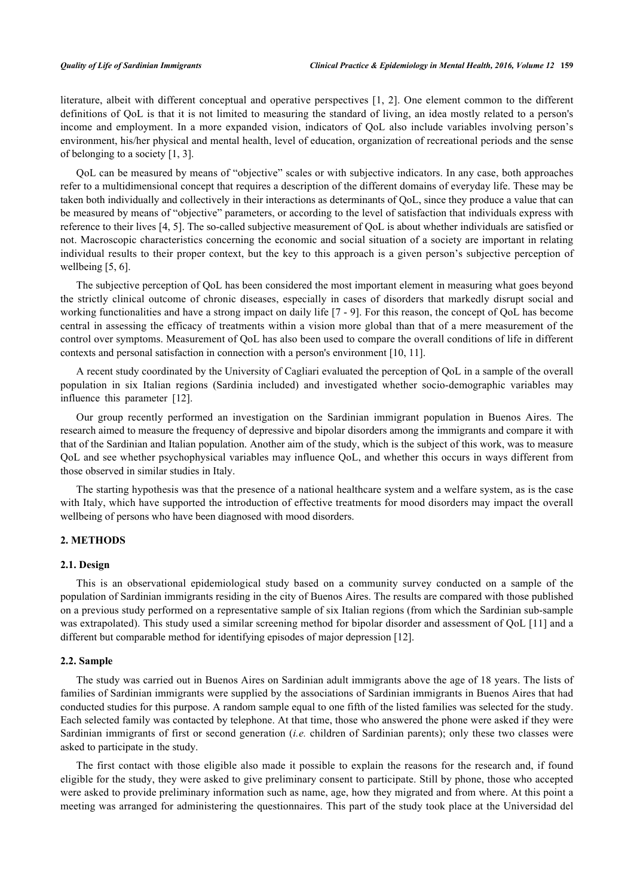literature, albeit with different conceptual and operative perspectives [\[1](#page-7-0), [2\]](#page-7-1). One element common to the different definitions of QoL is that it is not limited to measuring the standard of living, an idea mostly related to a person's income and employment. In a more expanded vision, indicators of QoL also include variables involving person's environment, his/her physical and mental health, level of education, organization of recreational periods and the sense of belonging to a society [\[1](#page-7-0), [3](#page-7-2)].

QoL can be measured by means of "objective" scales or with subjective indicators. In any case, both approaches refer to a multidimensional concept that requires a description of the different domains of everyday life. These may be taken both individually and collectively in their interactions as determinants of QoL, since they produce a value that can be measured by means of "objective" parameters, or according to the level of satisfaction that individuals express with reference to their lives [[4,](#page-7-3) [5\]](#page-7-4). The so-called subjective measurement of QoL is about whether individuals are satisfied or not. Macroscopic characteristics concerning the economic and social situation of a society are important in relating individual results to their proper context, but the key to this approach is a given person's subjective perception of wellbeing [[5,](#page-7-4) [6\]](#page-7-5).

The subjective perception of QoL has been considered the most important element in measuring what goes beyond the strictly clinical outcome of chronic diseases, especially in cases of disorders that markedly disrupt social and working functionalities and have a strong impact on daily life [[7](#page-7-6) - [9](#page-7-7)]. For this reason, the concept of QoL has become central in assessing the efficacy of treatments within a vision more global than that of a mere measurement of the control over symptoms. Measurement of QoL has also been used to compare the overall conditions of life in different contexts and personal satisfaction in connection with a person's environment [\[10](#page-7-8), [11](#page-7-9)].

A recent study coordinated by the University of Cagliari evaluated the perception of QoL in a sample of the overall population in six Italian regions (Sardinia included) and investigated whether socio-demographic variables may influence this parameter [\[12](#page-7-10)].

Our group recently performed an investigation on the Sardinian immigrant population in Buenos Aires. The research aimed to measure the frequency of depressive and bipolar disorders among the immigrants and compare it with that of the Sardinian and Italian population. Another aim of the study, which is the subject of this work, was to measure QoL and see whether psychophysical variables may influence QoL, and whether this occurs in ways different from those observed in similar studies in Italy.

The starting hypothesis was that the presence of a national healthcare system and a welfare system, as is the case with Italy, which have supported the introduction of effective treatments for mood disorders may impact the overall wellbeing of persons who have been diagnosed with mood disorders.

## **2. METHODS**

#### **2.1. Design**

This is an observational epidemiological study based on a community survey conducted on a sample of the population of Sardinian immigrants residing in the city of Buenos Aires. The results are compared with those published on a previous study performed on a representative sample of six Italian regions (from which the Sardinian sub-sample was extrapolated). This study used a similar screening method for bipolar disorder and assessment of QoL [\[11](#page-7-9)] and a different but comparable method for identifying episodes of major depression [\[12](#page-7-10)].

#### **2.2. Sample**

The study was carried out in Buenos Aires on Sardinian adult immigrants above the age of 18 years. The lists of families of Sardinian immigrants were supplied by the associations of Sardinian immigrants in Buenos Aires that had conducted studies for this purpose. A random sample equal to one fifth of the listed families was selected for the study. Each selected family was contacted by telephone. At that time, those who answered the phone were asked if they were Sardinian immigrants of first or second generation (*i.e.* children of Sardinian parents); only these two classes were asked to participate in the study.

The first contact with those eligible also made it possible to explain the reasons for the research and, if found eligible for the study, they were asked to give preliminary consent to participate. Still by phone, those who accepted were asked to provide preliminary information such as name, age, how they migrated and from where. At this point a meeting was arranged for administering the questionnaires. This part of the study took place at the Universidad del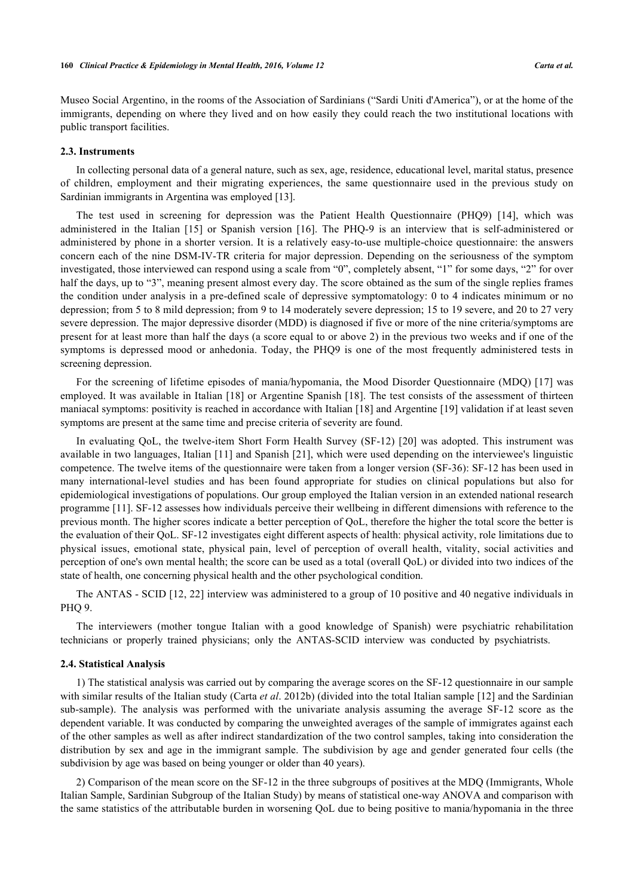Museo Social Argentino, in the rooms of the Association of Sardinians ("Sardi Uniti d'America"), or at the home of the immigrants, depending on where they lived and on how easily they could reach the two institutional locations with public transport facilities.

#### **2.3. Instruments**

In collecting personal data of a general nature, such as sex, age, residence, educational level, marital status, presence of children, employment and their migrating experiences, the same questionnaire used in the previous study on Sardinian immigrants in Argentina was employed [[13\]](#page-7-11).

The test used in screening for depression was the Patient Health Questionnaire (PHQ9)[[14](#page-7-12)], which was administered in the Italian[[15](#page-7-13)] or Spanish version[[16](#page-7-14)]. The PHQ-9 is an interview that is self-administered or administered by phone in a shorter version. It is a relatively easy-to-use multiple-choice questionnaire: the answers concern each of the nine DSM-IV-TR criteria for major depression. Depending on the seriousness of the symptom investigated, those interviewed can respond using a scale from "0", completely absent, "1" for some days, "2" for over half the days, up to "3", meaning present almost every day. The score obtained as the sum of the single replies frames the condition under analysis in a pre-defined scale of depressive symptomatology: 0 to 4 indicates minimum or no depression; from 5 to 8 mild depression; from 9 to 14 moderately severe depression; 15 to 19 severe, and 20 to 27 very severe depression. The major depressive disorder (MDD) is diagnosed if five or more of the nine criteria/symptoms are present for at least more than half the days (a score equal to or above 2) in the previous two weeks and if one of the symptoms is depressed mood or anhedonia. Today, the PHQ9 is one of the most frequently administered tests in screening depression.

For the screening of lifetime episodes of mania/hypomania, the Mood Disorder Questionnaire (MDQ) [[17](#page-7-15)] was employed. It was available in Italian [[18\]](#page-7-16) or Argentine Spanish [[18\]](#page-7-16). The test consists of the assessment of thirteen maniacal symptoms: positivity is reached in accordance with Italian [\[18](#page-7-16)] and Argentine [[19\]](#page-8-0) validation if at least seven symptoms are present at the same time and precise criteria of severity are found.

In evaluating QoL, the twelve-item Short Form Health Survey (SF-12) [[20](#page-8-1)] was adopted. This instrument was available in two languages, Italian [[11](#page-7-9)] and Spanish [[21](#page-8-2)], which were used depending on the interviewee's linguistic competence. The twelve items of the questionnaire were taken from a longer version (SF-36): SF-12 has been used in many international-level studies and has been found appropriate for studies on clinical populations but also for epidemiological investigations of populations. Our group employed the Italian version in an extended national research programme [\[11](#page-7-9)]. SF-12 assesses how individuals perceive their wellbeing in different dimensions with reference to the previous month. The higher scores indicate a better perception of QoL, therefore the higher the total score the better is the evaluation of their QoL. SF-12 investigates eight different aspects of health: physical activity, role limitations due to physical issues, emotional state, physical pain, level of perception of overall health, vitality, social activities and perception of one's own mental health; the score can be used as a total (overall QoL) or divided into two indices of the state of health, one concerning physical health and the other psychological condition.

The ANTAS - SCID [[12,](#page-7-10) [22](#page-8-3)] interview was administered to a group of 10 positive and 40 negative individuals in PHQ 9.

The interviewers (mother tongue Italian with a good knowledge of Spanish) were psychiatric rehabilitation technicians or properly trained physicians; only the ANTAS-SCID interview was conducted by psychiatrists.

#### **2.4. Statistical Analysis**

1) The statistical analysis was carried out by comparing the average scores on the SF-12 questionnaire in our sample with similar results of the Italian study (Carta *et al*. 2012b) (divided into the total Italian sample [[12\]](#page-7-10) and the Sardinian sub-sample). The analysis was performed with the univariate analysis assuming the average SF-12 score as the dependent variable. It was conducted by comparing the unweighted averages of the sample of immigrates against each of the other samples as well as after indirect standardization of the two control samples, taking into consideration the distribution by sex and age in the immigrant sample. The subdivision by age and gender generated four cells (the subdivision by age was based on being younger or older than 40 years).

2) Comparison of the mean score on the SF-12 in the three subgroups of positives at the MDQ (Immigrants, Whole Italian Sample, Sardinian Subgroup of the Italian Study) by means of statistical one-way ANOVA and comparison with the same statistics of the attributable burden in worsening QoL due to being positive to mania/hypomania in the three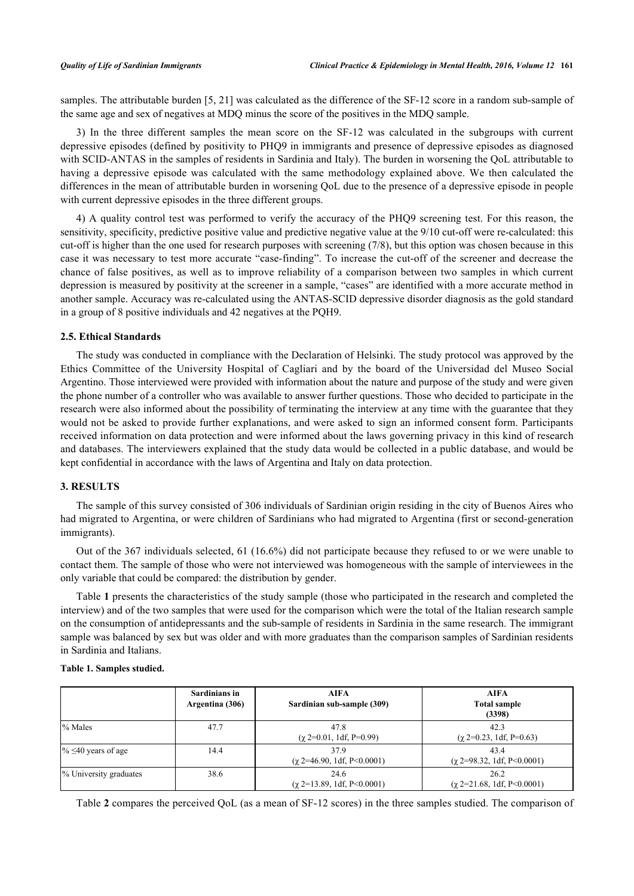samples. The attributable burden [\[5](#page-7-4), [21\]](#page-8-2) was calculated as the difference of the SF-12 score in a random sub-sample of the same age and sex of negatives at MDQ minus the score of the positives in the MDQ sample.

3) In the three different samples the mean score on the SF-12 was calculated in the subgroups with current depressive episodes (defined by positivity to PHQ9 in immigrants and presence of depressive episodes as diagnosed with SCID-ANTAS in the samples of residents in Sardinia and Italy). The burden in worsening the QoL attributable to having a depressive episode was calculated with the same methodology explained above. We then calculated the differences in the mean of attributable burden in worsening QoL due to the presence of a depressive episode in people with current depressive episodes in the three different groups.

4) A quality control test was performed to verify the accuracy of the PHQ9 screening test. For this reason, the sensitivity, specificity, predictive positive value and predictive negative value at the 9/10 cut-off were re-calculated: this cut-off is higher than the one used for research purposes with screening (7/8), but this option was chosen because in this case it was necessary to test more accurate "case-finding". To increase the cut-off of the screener and decrease the chance of false positives, as well as to improve reliability of a comparison between two samples in which current depression is measured by positivity at the screener in a sample, "cases" are identified with a more accurate method in another sample. Accuracy was re-calculated using the ANTAS-SCID depressive disorder diagnosis as the gold standard in a group of 8 positive individuals and 42 negatives at the PQH9.

#### **2.5. Ethical Standards**

The study was conducted in compliance with the Declaration of Helsinki. The study protocol was approved by the Ethics Committee of the University Hospital of Cagliari and by the board of the Universidad del Museo Social Argentino. Those interviewed were provided with information about the nature and purpose of the study and were given the phone number of a controller who was available to answer further questions. Those who decided to participate in the research were also informed about the possibility of terminating the interview at any time with the guarantee that they would not be asked to provide further explanations, and were asked to sign an informed consent form. Participants received information on data protection and were informed about the laws governing privacy in this kind of research and databases. The interviewers explained that the study data would be collected in a public database, and would be kept confidential in accordance with the laws of Argentina and Italy on data protection.

#### **3. RESULTS**

The sample of this survey consisted of 306 individuals of Sardinian origin residing in the city of Buenos Aires who had migrated to Argentina, or were children of Sardinians who had migrated to Argentina (first or second-generation immigrants).

Out of the 367 individuals selected, 61 (16.6%) did not participate because they refused to or we were unable to contact them. The sample of those who were not interviewed was homogeneous with the sample of interviewees in the only variable that could be compared: the distribution by gender.

Table **[1](#page-3-0)** presents the characteristics of the study sample (those who participated in the research and completed the interview) and of the two samples that were used for the comparison which were the total of the Italian research sample on the consumption of antidepressants and the sub-sample of residents in Sardinia in the same research. The immigrant sample was balanced by sex but was older and with more graduates than the comparison samples of Sardinian residents in Sardinia and Italians.

## <span id="page-3-0"></span>**Table 1. Samples studied.**

|                           | Sardinians in<br>Argentina (306) | <b>AIFA</b><br>Sardinian sub-sample (309) | <b>AIFA</b><br><b>Total sample</b><br>(3398) |
|---------------------------|----------------------------------|-------------------------------------------|----------------------------------------------|
| % Males                   | 47.7                             | 47.8<br>$(\chi 2=0.01, 1df, P=0.99)$      | 42.3<br>$(\chi 2=0.23, 1df, P=0.63)$         |
| $\% \leq 40$ years of age | 14.4                             | 37.9<br>$(\gamma$ 2=46.90, 1df, P<0.0001) | 43.4<br>$(\gamma$ 2=98.32, 1df, P<0.0001)    |
| % University graduates    | 38.6                             | 24.6<br>$(\gamma$ 2=13.89, 1df, P<0.0001) | 26.2<br>$(\chi$ 2=21.68, 1df, P<0.0001)      |

Table **[2](#page-4-0)** compares the perceived QoL (as a mean of SF-12 scores) in the three samples studied. The comparison of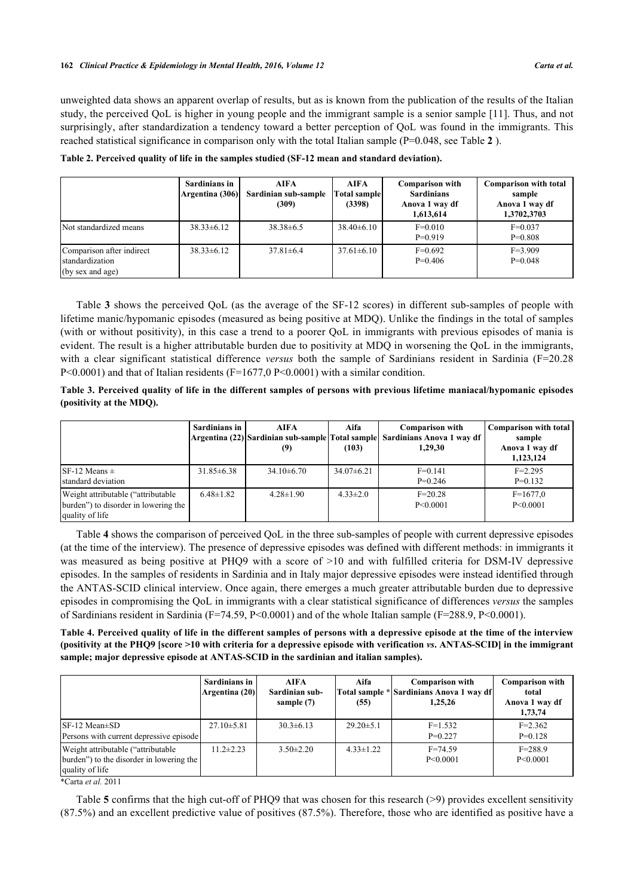#### **162** *Clinical Practice & Epidemiology in Mental Health, 2016, Volume 12 Carta et al.*

unweighted data shows an apparent overlap of results, but as is known from the publication of the results of the Italian study, the perceived QoL is higher in young people and the immigrant sample is a senior sample [[11](#page-7-9)]. Thus, and not surprisingly, after standardization a tendency toward a better perception of QoL was found in the immigrants. This reached statistical significance in comparison only with the total Italian sample (P=0.048, see Table **[2](#page-4-0)** ).

|                                                                        | Sardinians in<br>Argentina (306) | <b>AIFA</b><br>Sardinian sub-sample<br>(309) | AIFA<br><b>Total sample</b><br>(3398) | <b>Comparison with</b><br><b>Sardinians</b><br>Anova 1 way df<br>1,613,614 | <b>Comparison with total</b><br>sample<br>Anova 1 way df<br>1,3702,3703 |
|------------------------------------------------------------------------|----------------------------------|----------------------------------------------|---------------------------------------|----------------------------------------------------------------------------|-------------------------------------------------------------------------|
| Not standardized means                                                 | $38.33 \pm 6.12$                 | $38.38\pm 6.5$                               | $38.40\pm6.10$                        | $F=0.010$<br>$P=0.919$                                                     | $F=0.037$<br>$P=0.808$                                                  |
| Comparison after indirect<br>standardization<br>$($ by sex and age $)$ | $38.33 \pm 6.12$                 | $37.81 \pm 6.4$                              | $37.61 \pm 6.10$                      | $F=0.692$<br>$P=0.406$                                                     | $F=3.909$<br>$P=0.048$                                                  |

<span id="page-4-0"></span>**Table 2. Perceived quality of life in the samples studied (SF-12 mean and standard deviation).**

Table **[3](#page-4-1)** shows the perceived QoL (as the average of the SF-12 scores) in different sub-samples of people with lifetime manic/hypomanic episodes (measured as being positive at MDQ). Unlike the findings in the total of samples (with or without positivity), in this case a trend to a poorer QoL in immigrants with previous episodes of mania is evident. The result is a higher attributable burden due to positivity at MDQ in worsening the QoL in the immigrants, with a clear significant statistical difference *versus* both the sample of Sardinians resident in Sardinia (F=20.28  $P<0.0001$  and that of Italian residents (F=1677,0 P<0.0001) with a similar condition.

<span id="page-4-1"></span>**Table 3. Perceived quality of life in the different samples of persons with previous lifetime maniacal/hypomanic episodes (positivity at the MDQ).**

|                                                                                                | Sardinians in    | <b>AIFA</b><br>(9) | Aifa<br>(103)  | <b>Comparison with</b><br>Argentina (22) Sardinian sub-sample Total sample Sardinians Anova 1 way df<br>1,29,30 | <b>Comparison with total</b><br>sample<br>Anova 1 way df<br>1,123,124 |
|------------------------------------------------------------------------------------------------|------------------|--------------------|----------------|-----------------------------------------------------------------------------------------------------------------|-----------------------------------------------------------------------|
| SF-12 Means $\pm$<br>standard deviation                                                        | $31.85 \pm 6.38$ | $34.10\pm6.70$     | $34.07\pm6.21$ | $F=0.141$<br>$P=0.246$                                                                                          | $F = 2.295$<br>$P=0.132$                                              |
| Weight attributable ("attributable"<br>burden") to disorder in lowering the<br>quality of life | $6.48 \pm 1.82$  | $4.28 \pm 1.90$    | $4.33 \pm 2.0$ | $F = 20.28$<br>P < 0.0001                                                                                       | $F=1677,0$<br>P<0.0001                                                |

Table **[4](#page-4-2)** shows the comparison of perceived QoL in the three sub-samples of people with current depressive episodes (at the time of the interview). The presence of depressive episodes was defined with different methods: in immigrants it was measured as being positive at PHQ9 with a score of  $>10$  and with fulfilled criteria for DSM-IV depressive episodes. In the samples of residents in Sardinia and in Italy major depressive episodes were instead identified through the ANTAS-SCID clinical interview. Once again, there emerges a much greater attributable burden due to depressive episodes in compromising the QoL in immigrants with a clear statistical significance of differences *versus* the samples of Sardinians resident in Sardinia (F=74.59, P<0.0001) and of the whole Italian sample (F=288.9, P<0.0001).

<span id="page-4-2"></span>**Table 4. Perceived quality of life in the different samples of persons with a depressive episode at the time of the interview (positivity at the PHQ9 [score >10 with criteria for a depressive episode with verification** *vs***. ANTAS-SCID] in the immigrant sample; major depressive episode at ANTAS-SCID in the sardinian and italian samples).**

|                                                                                                    | Sardinians in<br>Argentina (20) | <b>AIFA</b><br>Sardinian sub-<br>sample (7) | Aifa<br>(55)    | <b>Comparison with</b><br>Total sample * Sardinians Anova 1 way df<br>1,25,26 | <b>Comparison with</b><br>total<br>Anova 1 way df<br>1,73,74 |
|----------------------------------------------------------------------------------------------------|---------------------------------|---------------------------------------------|-----------------|-------------------------------------------------------------------------------|--------------------------------------------------------------|
| $SF-12$ Mean $\pm SD$<br>Persons with current depressive episode                                   | $27.10 \pm 5.81$                | $30.3 \pm 6.13$                             | $29.20 \pm 5.1$ | $F=1.532$<br>$P=0.227$                                                        | $F=2.362$<br>$P=0.128$                                       |
| Weight attributable ("attributable"<br>burden") to the disorder in lowering the<br>quality of life | $11.2 \pm 2.23$                 | $3.50 \pm 2.20$                             | $4.33 \pm 1.22$ | $F = 74.59$<br>P < 0.0001                                                     | $F = 288.9$<br>$P \le 0.0001$                                |

\*Carta *et al.* 2011

Table **[5](#page-5-0)** confirms that the high cut-off of PHQ9 that was chosen for this research  $(>9)$  provides excellent sensitivity (87.5%) and an excellent predictive value of positives (87.5%). Therefore, those who are identified as positive have a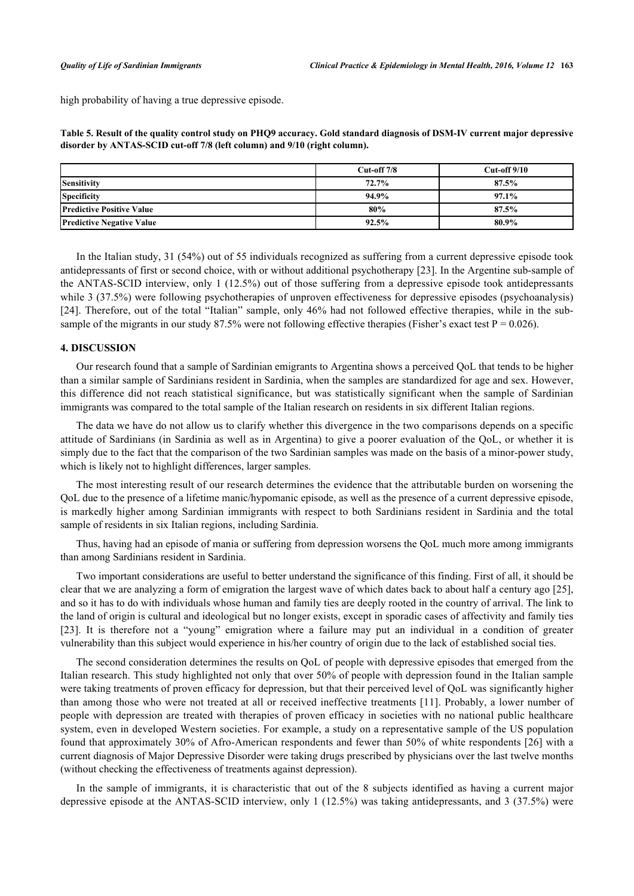high probability of having a true depressive episode.

<span id="page-5-0"></span>**Table 5. Result of the quality control study on PHQ9 accuracy. Gold standard diagnosis of DSM-IV current major depressive disorder by ANTAS-SCID cut-off 7/8 (left column) and 9/10 (right column).**

|                                  | $Cut-off 7/8$ | $Cut-off 9/10$ |
|----------------------------------|---------------|----------------|
| Sensitivity                      | 72.7%         | 87.5%          |
| <b>Specificity</b>               | 94.9%         | $97.1\%$       |
| <b>Predictive Positive Value</b> | 80%           | 87.5%          |
| <b>Predictive Negative Value</b> | 92.5%         | 80.9%          |

In the Italian study, 31 (54%) out of 55 individuals recognized as suffering from a current depressive episode took antidepressants of first or second choice, with or without additional psychotherapy [[23\]](#page-8-4). In the Argentine sub-sample of the ANTAS-SCID interview, only 1 (12.5%) out of those suffering from a depressive episode took antidepressants while 3 (37.5%) were following psychotherapies of unproven effectiveness for depressive episodes (psychoanalysis) [\[24](#page-8-5)]. Therefore, out of the total "Italian" sample, only 46% had not followed effective therapies, while in the subsample of the migrants in our study 87.5% were not following effective therapies (Fisher's exact test  $P = 0.026$ ).

## **4. DISCUSSION**

Our research found that a sample of Sardinian emigrants to Argentina shows a perceived QoL that tends to be higher than a similar sample of Sardinians resident in Sardinia, when the samples are standardized for age and sex. However, this difference did not reach statistical significance, but was statistically significant when the sample of Sardinian immigrants was compared to the total sample of the Italian research on residents in six different Italian regions.

The data we have do not allow us to clarify whether this divergence in the two comparisons depends on a specific attitude of Sardinians (in Sardinia as well as in Argentina) to give a poorer evaluation of the QoL, or whether it is simply due to the fact that the comparison of the two Sardinian samples was made on the basis of a minor-power study, which is likely not to highlight differences, larger samples.

The most interesting result of our research determines the evidence that the attributable burden on worsening the QoL due to the presence of a lifetime manic/hypomanic episode, as well as the presence of a current depressive episode, is markedly higher among Sardinian immigrants with respect to both Sardinians resident in Sardinia and the total sample of residents in six Italian regions, including Sardinia.

Thus, having had an episode of mania or suffering from depression worsens the QoL much more among immigrants than among Sardinians resident in Sardinia.

Two important considerations are useful to better understand the significance of this finding. First of all, it should be clear that we are analyzing a form of emigration the largest wave of which dates back to about half a century ago [[25\]](#page-8-6), and so it has to do with individuals whose human and family ties are deeply rooted in the country of arrival. The link to the land of origin is cultural and ideological but no longer exists, except in sporadic cases of affectivity and family ties [\[23](#page-8-4)]. It is therefore not a "young" emigration where a failure may put an individual in a condition of greater vulnerability than this subject would experience in his/her country of origin due to the lack of established social ties.

The second consideration determines the results on QoL of people with depressive episodes that emerged from the Italian research. This study highlighted not only that over 50% of people with depression found in the Italian sample were taking treatments of proven efficacy for depression, but that their perceived level of QoL was significantly higher than among those who were not treated at all or received ineffective treatments [[11](#page-7-9)]. Probably, a lower number of people with depression are treated with therapies of proven efficacy in societies with no national public healthcare system, even in developed Western societies. For example, a study on a representative sample of the US population found that approximately 30% of Afro-American respondents and fewer than 50% of white respondents [[26](#page-8-7)] with a current diagnosis of Major Depressive Disorder were taking drugs prescribed by physicians over the last twelve months (without checking the effectiveness of treatments against depression).

In the sample of immigrants, it is characteristic that out of the 8 subjects identified as having a current major depressive episode at the ANTAS-SCID interview, only 1 (12.5%) was taking antidepressants, and 3 (37.5%) were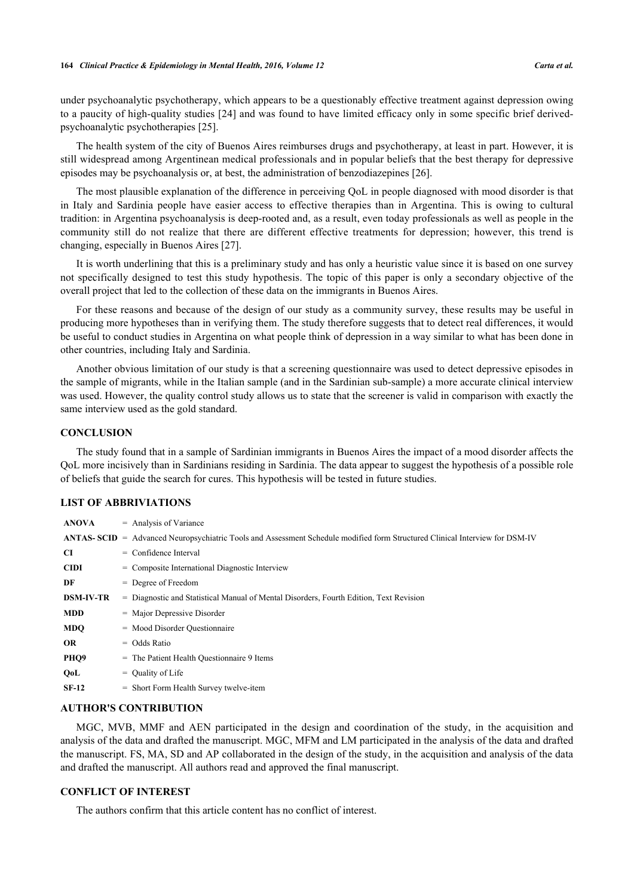under psychoanalytic psychotherapy, which appears to be a questionably effective treatment against depression owing to a paucity of high-quality studies [\[24\]](#page-8-5) and was found to have limited efficacy only in some specific brief derivedpsychoanalytic psychotherapies [\[25](#page-8-6)].

The health system of the city of Buenos Aires reimburses drugs and psychotherapy, at least in part. However, it is still widespread among Argentinean medical professionals and in popular beliefs that the best therapy for depressive episodes may be psychoanalysis or, at best, the administration of benzodiazepines [\[26](#page-8-7)].

The most plausible explanation of the difference in perceiving QoL in people diagnosed with mood disorder is that in Italy and Sardinia people have easier access to effective therapies than in Argentina. This is owing to cultural tradition: in Argentina psychoanalysis is deep-rooted and, as a result, even today professionals as well as people in the community still do not realize that there are different effective treatments for depression; however, this trend is changing, especially in Buenos Aires [\[27](#page-8-8)].

It is worth underlining that this is a preliminary study and has only a heuristic value since it is based on one survey not specifically designed to test this study hypothesis. The topic of this paper is only a secondary objective of the overall project that led to the collection of these data on the immigrants in Buenos Aires.

For these reasons and because of the design of our study as a community survey, these results may be useful in producing more hypotheses than in verifying them. The study therefore suggests that to detect real differences, it would be useful to conduct studies in Argentina on what people think of depression in a way similar to what has been done in other countries, including Italy and Sardinia.

Another obvious limitation of our study is that a screening questionnaire was used to detect depressive episodes in the sample of migrants, while in the Italian sample (and in the Sardinian sub-sample) a more accurate clinical interview was used. However, the quality control study allows us to state that the screener is valid in comparison with exactly the same interview used as the gold standard.

#### **CONCLUSION**

The study found that in a sample of Sardinian immigrants in Buenos Aires the impact of a mood disorder affects the QoL more incisively than in Sardinians residing in Sardinia. The data appear to suggest the hypothesis of a possible role of beliefs that guide the search for cures. This hypothesis will be tested in future studies.

#### **LIST OF ABBRIVIATIONS**

| <b>ANOVA</b>     | $=$ Analysis of Variance                                                                                                     |
|------------------|------------------------------------------------------------------------------------------------------------------------------|
|                  | ANTAS- SCID = Advanced Neuropsychiatric Tools and Assessment Schedule modified form Structured Clinical Interview for DSM-IV |
| CI               | $=$ Confidence Interval                                                                                                      |
| <b>CIDI</b>      | $=$ Composite International Diagnostic Interview                                                                             |
| DF               | $=$ Degree of Freedom                                                                                                        |
| <b>DSM-IV-TR</b> | = Diagnostic and Statistical Manual of Mental Disorders, Fourth Edition, Text Revision                                       |
| <b>MDD</b>       | $=$ Major Depressive Disorder                                                                                                |
| <b>MDO</b>       | $=$ Mood Disorder Ouestionnaire                                                                                              |
| <b>OR</b>        | $=$ Odds Ratio                                                                                                               |
| PHQ <sub>9</sub> | $=$ The Patient Health Ouestionnaire 9 Items                                                                                 |
| QoL              | $=$ Ouality of Life                                                                                                          |
| $SF-12$          | $=$ Short Form Health Survey twelve-item                                                                                     |

## **AUTHOR'S CONTRIBUTION**

MGC, MVB, MMF and AEN participated in the design and coordination of the study, in the acquisition and analysis of the data and drafted the manuscript. MGC, MFM and LM participated in the analysis of the data and drafted the manuscript. FS, MA, SD and AP collaborated in the design of the study, in the acquisition and analysis of the data and drafted the manuscript. All authors read and approved the final manuscript.

## **CONFLICT OF INTEREST**

The authors confirm that this article content has no conflict of interest.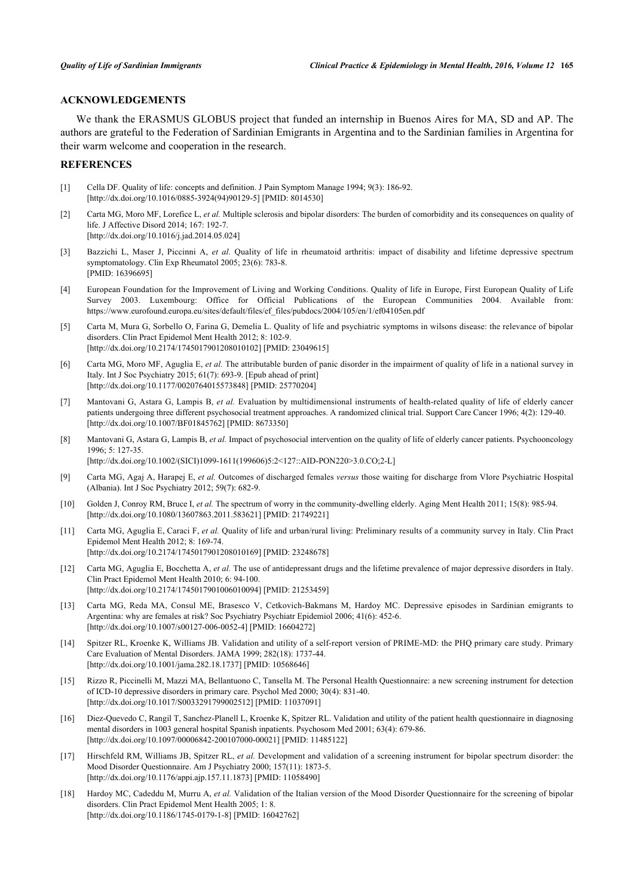## **ACKNOWLEDGEMENTS**

We thank the ERASMUS GLOBUS project that funded an internship in Buenos Aires for MA, SD and AP. The authors are grateful to the Federation of Sardinian Emigrants in Argentina and to the Sardinian families in Argentina for their warm welcome and cooperation in the research.

#### **REFERENCES**

- <span id="page-7-0"></span>[1] Cella DF. Quality of life: concepts and definition. J Pain Symptom Manage 1994; 9(3): 186-92. [\[http://dx.doi.org/10.1016/0885-3924\(94\)90129-5](http://dx.doi.org/10.1016/0885-3924(94)90129-5)] [PMID: [8014530](http://www.ncbi.nlm.nih.gov/pubmed/8014530)]
- <span id="page-7-1"></span>[2] Carta MG, Moro MF, Lorefice L, *et al.* Multiple sclerosis and bipolar disorders: The burden of comorbidity and its consequences on quality of life. J Affective Disord 2014; 167: 192-7. [\[http://dx.doi.org/10.1016/j.jad.2014.05.024\]](http://dx.doi.org/10.1016/j.jad.2014.05.024)
- <span id="page-7-2"></span>[3] Bazzichi L, Maser J, Piccinni A, *et al.* Quality of life in rheumatoid arthritis: impact of disability and lifetime depressive spectrum symptomatology. Clin Exp Rheumatol 2005; 23(6): 783-8. [PMID: [16396695\]](http://www.ncbi.nlm.nih.gov/pubmed/16396695)
- <span id="page-7-3"></span>[4] European Foundation for the Improvement of Living and Working Conditions. Quality of life in Europe, First European Quality of Life Survey 2003. Luxembourg: Office for Official Publications of the European Communities 2004. Available from: [https://www.eurofound.europa.eu/sites/default/files/ef\\_files/pubdocs/2004/105/en/1/ef04105en.pdf](https://www.eurofound.europa.eu/sites/default/files/ef_files/pubdocs/2004/105/en/1/ef04105en.pdf)
- <span id="page-7-4"></span>[5] Carta M, Mura G, Sorbello O, Farina G, Demelia L. Quality of life and psychiatric symptoms in wilsons disease: the relevance of bipolar disorders. Clin Pract Epidemol Ment Health 2012; 8: 102-9. [\[http://dx.doi.org/10.2174/1745017901208010102\]](http://dx.doi.org/10.2174/1745017901208010102) [PMID: [23049615](http://www.ncbi.nlm.nih.gov/pubmed/23049615)]
- <span id="page-7-5"></span>[6] Carta MG, Moro MF, Aguglia E, *et al.* The attributable burden of panic disorder in the impairment of quality of life in a national survey in Italy. Int J Soc Psychiatry 2015; 61(7): 693-9. [Epub ahead of print] [\[http://dx.doi.org/10.1177/0020764015573848\]](http://dx.doi.org/10.1177/0020764015573848) [PMID: [25770204](http://www.ncbi.nlm.nih.gov/pubmed/25770204)]
- <span id="page-7-6"></span>[7] Mantovani G, Astara G, Lampis B, *et al.* Evaluation by multidimensional instruments of health-related quality of life of elderly cancer patients undergoing three different psychosocial treatment approaches. A randomized clinical trial. Support Care Cancer 1996; 4(2): 129-40. [\[http://dx.doi.org/10.1007/BF01845762\]](http://dx.doi.org/10.1007/BF01845762) [PMID: [8673350](http://www.ncbi.nlm.nih.gov/pubmed/8673350)]
- [8] Mantovani G, Astara G, Lampis B, *et al.* Impact of psychosocial intervention on the quality of life of elderly cancer patients. Psychooncology 1996; 5: 127-35. [\[http://dx.doi.org/10.1002/\(SICI\)1099-1611\(199606\)5:2<127::AID-PON220>3.0.CO;2-L\]](http://dx.doi.org/10.1002/(SICI)1099-1611(199606)5:2<127::AID-PON220>3.0.CO;2-L)
- <span id="page-7-7"></span>[9] Carta MG, Agaj A, Harapej E, *et al.* Outcomes of discharged females *versus* those waiting for discharge from Vlore Psychiatric Hospital (Albania). Int J Soc Psychiatry 2012; 59(7): 682-9.
- <span id="page-7-8"></span>[10] Golden J, Conroy RM, Bruce I, *et al.* The spectrum of worry in the community-dwelling elderly. Aging Ment Health 2011; 15(8): 985-94. [\[http://dx.doi.org/10.1080/13607863.2011.583621\]](http://dx.doi.org/10.1080/13607863.2011.583621) [PMID: [21749221](http://www.ncbi.nlm.nih.gov/pubmed/21749221)]
- <span id="page-7-9"></span>[11] Carta MG, Aguglia E, Caraci F, *et al.* Quality of life and urban/rural living: Preliminary results of a community survey in Italy. Clin Pract Epidemol Ment Health 2012; 8: 169-74. [\[http://dx.doi.org/10.2174/1745017901208010169\]](http://dx.doi.org/10.2174/1745017901208010169) [PMID: [23248678](http://www.ncbi.nlm.nih.gov/pubmed/23248678)]
- <span id="page-7-10"></span>[12] Carta MG, Aguglia E, Bocchetta A, *et al.* The use of antidepressant drugs and the lifetime prevalence of major depressive disorders in Italy. Clin Pract Epidemol Ment Health 2010; 6: 94-100. [\[http://dx.doi.org/10.2174/1745017901006010094\]](http://dx.doi.org/10.2174/1745017901006010094) [PMID: [21253459](http://www.ncbi.nlm.nih.gov/pubmed/21253459)]
- <span id="page-7-11"></span>[13] Carta MG, Reda MA, Consul ME, Brasesco V, Cetkovich-Bakmans M, Hardoy MC. Depressive episodes in Sardinian emigrants to Argentina: why are females at risk? Soc Psychiatry Psychiatr Epidemiol 2006; 41(6): 452-6. [\[http://dx.doi.org/10.1007/s00127-006-0052-4\]](http://dx.doi.org/10.1007/s00127-006-0052-4) [PMID: [16604272](http://www.ncbi.nlm.nih.gov/pubmed/16604272)]
- <span id="page-7-12"></span>[14] Spitzer RL, Kroenke K, Williams JB. Validation and utility of a self-report version of PRIME-MD: the PHQ primary care study. Primary Care Evaluation of Mental Disorders. JAMA 1999; 282(18): 1737-44. [\[http://dx.doi.org/10.1001/jama.282.18.1737](http://dx.doi.org/10.1001/jama.282.18.1737)] [PMID: [10568646\]](http://www.ncbi.nlm.nih.gov/pubmed/10568646)
- <span id="page-7-13"></span>[15] Rizzo R, Piccinelli M, Mazzi MA, Bellantuono C, Tansella M. The Personal Health Questionnaire: a new screening instrument for detection of ICD-10 depressive disorders in primary care. Psychol Med 2000; 30(4): 831-40. [\[http://dx.doi.org/10.1017/S0033291799002512](http://dx.doi.org/10.1017/S0033291799002512)] [PMID: [11037091\]](http://www.ncbi.nlm.nih.gov/pubmed/11037091)
- <span id="page-7-14"></span>[16] Diez-Quevedo C, Rangil T, Sanchez-Planell L, Kroenke K, Spitzer RL. Validation and utility of the patient health questionnaire in diagnosing mental disorders in 1003 general hospital Spanish inpatients. Psychosom Med 2001; 63(4): 679-86. [\[http://dx.doi.org/10.1097/00006842-200107000-00021](http://dx.doi.org/10.1097/00006842-200107000-00021)] [PMID: [11485122\]](http://www.ncbi.nlm.nih.gov/pubmed/11485122)
- <span id="page-7-15"></span>[17] Hirschfeld RM, Williams JB, Spitzer RL, *et al.* Development and validation of a screening instrument for bipolar spectrum disorder: the Mood Disorder Questionnaire. Am J Psychiatry 2000; 157(11): 1873-5. [\[http://dx.doi.org/10.1176/appi.ajp.157.11.1873](http://dx.doi.org/10.1176/appi.ajp.157.11.1873)] [PMID: [11058490\]](http://www.ncbi.nlm.nih.gov/pubmed/11058490)
- <span id="page-7-16"></span>[18] Hardoy MC, Cadeddu M, Murru A, *et al.* Validation of the Italian version of the Mood Disorder Questionnaire for the screening of bipolar disorders. Clin Pract Epidemol Ment Health 2005; 1: 8. [\[http://dx.doi.org/10.1186/1745-0179-1-8\]](http://dx.doi.org/10.1186/1745-0179-1-8) [PMID: [16042762](http://www.ncbi.nlm.nih.gov/pubmed/16042762)]